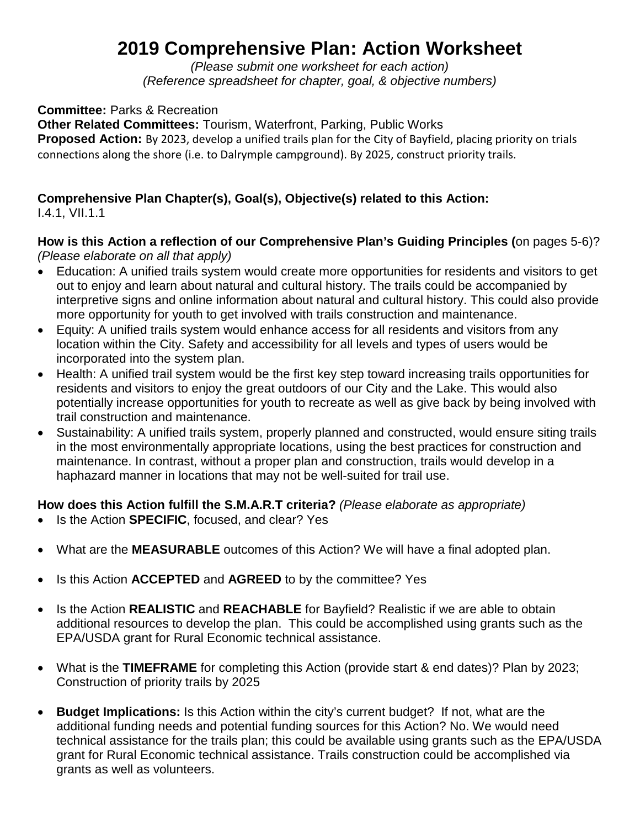## **2019 Comprehensive Plan: Action Worksheet**

*(Please submit one worksheet for each action) (Reference spreadsheet for chapter, goal, & objective numbers)*

**Committee:** Parks & Recreation

**Other Related Committees:** Tourism, Waterfront, Parking, Public Works **Proposed Action:** By 2023, develop a unified trails plan for the City of Bayfield, placing priority on trials connections along the shore (i.e. to Dalrymple campground). By 2025, construct priority trails.

## **Comprehensive Plan Chapter(s), Goal(s), Objective(s) related to this Action:**

I.4.1, VII.1.1

## **How is this Action a reflection of our Comprehensive Plan's Guiding Principles (**on pages 5-6)? *(Please elaborate on all that apply)*

- Education: A unified trails system would create more opportunities for residents and visitors to get out to enjoy and learn about natural and cultural history. The trails could be accompanied by interpretive signs and online information about natural and cultural history. This could also provide more opportunity for youth to get involved with trails construction and maintenance.
- Equity: A unified trails system would enhance access for all residents and visitors from any location within the City. Safety and accessibility for all levels and types of users would be incorporated into the system plan.
- Health: A unified trail system would be the first key step toward increasing trails opportunities for residents and visitors to enjoy the great outdoors of our City and the Lake. This would also potentially increase opportunities for youth to recreate as well as give back by being involved with trail construction and maintenance.
- Sustainability: A unified trails system, properly planned and constructed, would ensure siting trails in the most environmentally appropriate locations, using the best practices for construction and maintenance. In contrast, without a proper plan and construction, trails would develop in a haphazard manner in locations that may not be well-suited for trail use.

## **How does this Action fulfill the S.M.A.R.T criteria?** *(Please elaborate as appropriate)*

- Is the Action **SPECIFIC**, focused, and clear? Yes
- What are the **MEASURABLE** outcomes of this Action? We will have a final adopted plan.
- Is this Action **ACCEPTED** and **AGREED** to by the committee? Yes
- Is the Action **REALISTIC** and **REACHABLE** for Bayfield? Realistic if we are able to obtain additional resources to develop the plan. This could be accomplished using grants such as the EPA/USDA grant for Rural Economic technical assistance.
- What is the **TIMEFRAME** for completing this Action (provide start & end dates)? Plan by 2023; Construction of priority trails by 2025
- **Budget Implications:** Is this Action within the city's current budget? If not, what are the additional funding needs and potential funding sources for this Action? No. We would need technical assistance for the trails plan; this could be available using grants such as the EPA/USDA grant for Rural Economic technical assistance. Trails construction could be accomplished via grants as well as volunteers.